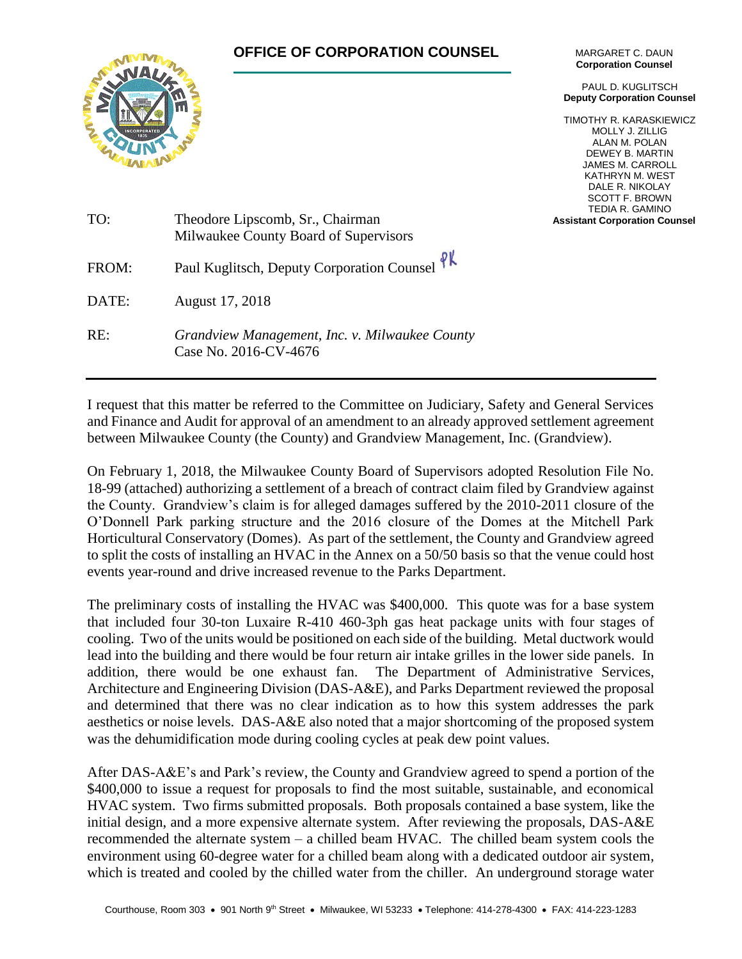## **OFFICE OF CORPORATION COUNSEL**



MARGARET C. DAUN **Corporation Counsel**

PAUL D. KUGLITSCH **Deputy Corporation Counsel**

TIMOTHY R. KARASKIEWICZ MOLLY J. ZILLIG ALAN M. POLAN DEWEY B. MARTIN JAMES M. CARROLL KATHRYN M. WEST DALE R. NIKOLAY SCOTT F. BROWN TEDIA R. GAMINO **Assistant Corporation Counsel**

| TO:   | Theodore Lipscomb, Sr., Chairman<br>Milwaukee County Board of Supervisors |
|-------|---------------------------------------------------------------------------|
| FROM: | Paul Kuglitsch, Deputy Corporation Counsel PK                             |
| DATE: | August 17, 2018                                                           |
| RE:   | Grandview Management, Inc. v. Milwaukee County<br>Case No. 2016-CV-4676   |

I request that this matter be referred to the Committee on Judiciary, Safety and General Services and Finance and Audit for approval of an amendment to an already approved settlement agreement between Milwaukee County (the County) and Grandview Management, Inc. (Grandview).

On February 1, 2018, the Milwaukee County Board of Supervisors adopted Resolution File No. 18-99 (attached) authorizing a settlement of a breach of contract claim filed by Grandview against the County. Grandview's claim is for alleged damages suffered by the 2010-2011 closure of the O'Donnell Park parking structure and the 2016 closure of the Domes at the Mitchell Park Horticultural Conservatory (Domes). As part of the settlement, the County and Grandview agreed to split the costs of installing an HVAC in the Annex on a 50/50 basis so that the venue could host events year-round and drive increased revenue to the Parks Department.

The preliminary costs of installing the HVAC was \$400,000. This quote was for a base system that included four 30-ton Luxaire R-410 460-3ph gas heat package units with four stages of cooling. Two of the units would be positioned on each side of the building. Metal ductwork would lead into the building and there would be four return air intake grilles in the lower side panels. In addition, there would be one exhaust fan. The Department of Administrative Services, Architecture and Engineering Division (DAS-A&E), and Parks Department reviewed the proposal and determined that there was no clear indication as to how this system addresses the park aesthetics or noise levels. DAS-A&E also noted that a major shortcoming of the proposed system was the dehumidification mode during cooling cycles at peak dew point values.

After DAS-A&E's and Park's review, the County and Grandview agreed to spend a portion of the \$400,000 to issue a request for proposals to find the most suitable, sustainable, and economical HVAC system. Two firms submitted proposals. Both proposals contained a base system, like the initial design, and a more expensive alternate system. After reviewing the proposals, DAS-A&E recommended the alternate system – a chilled beam HVAC. The chilled beam system cools the environment using 60-degree water for a chilled beam along with a dedicated outdoor air system, which is treated and cooled by the chilled water from the chiller. An underground storage water